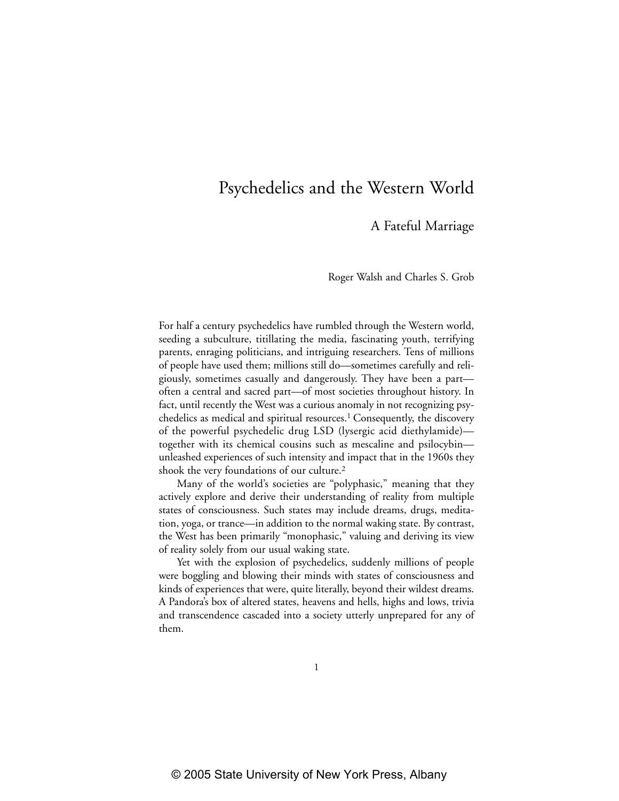## Psychedelics and the Western World

## A Fateful Marriage

Roger Walsh and Charles S. Grob

For half a century psychedelics have rumbled through the Western world, seeding a subculture, titillating the media, fascinating youth, terrifying parents, enraging politicians, and intriguing researchers. Tens of millions of people have used them; millions still do—sometimes carefully and religiously, sometimes casually and dangerously. They have been a part often a central and sacred part—of most societies throughout history. In fact, until recently the West was a curious anomaly in not recognizing psychedelics as medical and spiritual resources.<sup>1</sup> Consequently, the discovery of the powerful psychedelic drug LSD (lysergic acid diethylamide) together with its chemical cousins such as mescaline and psilocybin unleashed experiences of such intensity and impact that in the 1960s they shook the very foundations of our culture.2

Many of the world's societies are "polyphasic," meaning that they actively explore and derive their understanding of reality from multiple states of consciousness. Such states may include dreams, drugs, meditation, yoga, or trance—in addition to the normal waking state. By contrast, the West has been primarily "monophasic," valuing and deriving its view of reality solely from our usual waking state.

Yet with the explosion of psychedelics, suddenly millions of people were boggling and blowing their minds with states of consciousness and kinds of experiences that were, quite literally, beyond their wildest dreams. A Pandora's box of altered states, heavens and hells, highs and lows, trivia and transcendence cascaded into a society utterly unprepared for any of them.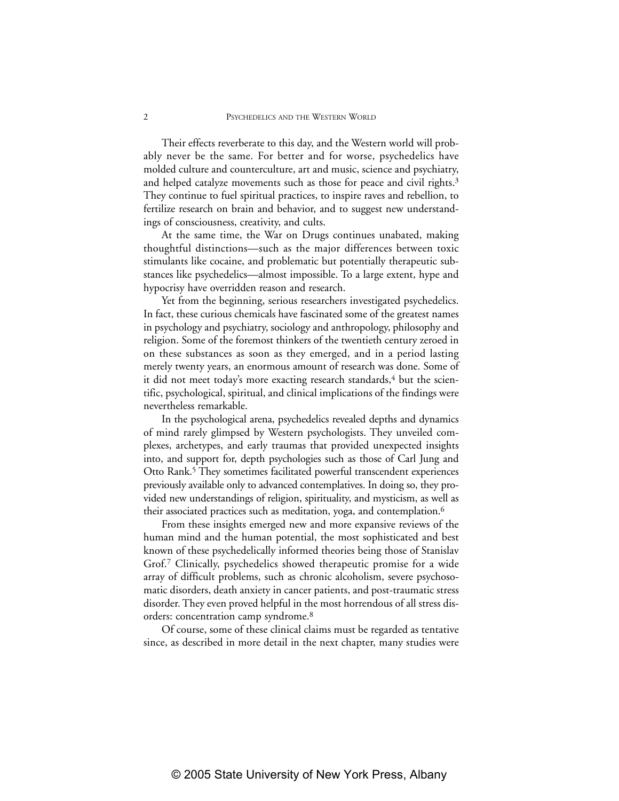Their effects reverberate to this day, and the Western world will probably never be the same. For better and for worse, psychedelics have molded culture and counterculture, art and music, science and psychiatry, and helped catalyze movements such as those for peace and civil rights.<sup>3</sup> They continue to fuel spiritual practices, to inspire raves and rebellion, to fertilize research on brain and behavior, and to suggest new understandings of consciousness, creativity, and cults.

At the same time, the War on Drugs continues unabated, making thoughtful distinctions—such as the major differences between toxic stimulants like cocaine, and problematic but potentially therapeutic substances like psychedelics—almost impossible. To a large extent, hype and hypocrisy have overridden reason and research.

Yet from the beginning, serious researchers investigated psychedelics. In fact, these curious chemicals have fascinated some of the greatest names in psychology and psychiatry, sociology and anthropology, philosophy and religion. Some of the foremost thinkers of the twentieth century zeroed in on these substances as soon as they emerged, and in a period lasting merely twenty years, an enormous amount of research was done. Some of it did not meet today's more exacting research standards, $4$  but the scientific, psychological, spiritual, and clinical implications of the findings were nevertheless remarkable.

In the psychological arena, psychedelics revealed depths and dynamics of mind rarely glimpsed by Western psychologists. They unveiled complexes, archetypes, and early traumas that provided unexpected insights into, and support for, depth psychologies such as those of Carl Jung and Otto Rank.<sup>5</sup> They sometimes facilitated powerful transcendent experiences previously available only to advanced contemplatives. In doing so, they provided new understandings of religion, spirituality, and mysticism, as well as their associated practices such as meditation, yoga, and contemplation.<sup>6</sup>

From these insights emerged new and more expansive reviews of the human mind and the human potential, the most sophisticated and best known of these psychedelically informed theories being those of Stanislav Grof.7 Clinically, psychedelics showed therapeutic promise for a wide array of difficult problems, such as chronic alcoholism, severe psychosomatic disorders, death anxiety in cancer patients, and post-traumatic stress disorder. They even proved helpful in the most horrendous of all stress disorders: concentration camp syndrome.8

Of course, some of these clinical claims must be regarded as tentative since, as described in more detail in the next chapter, many studies were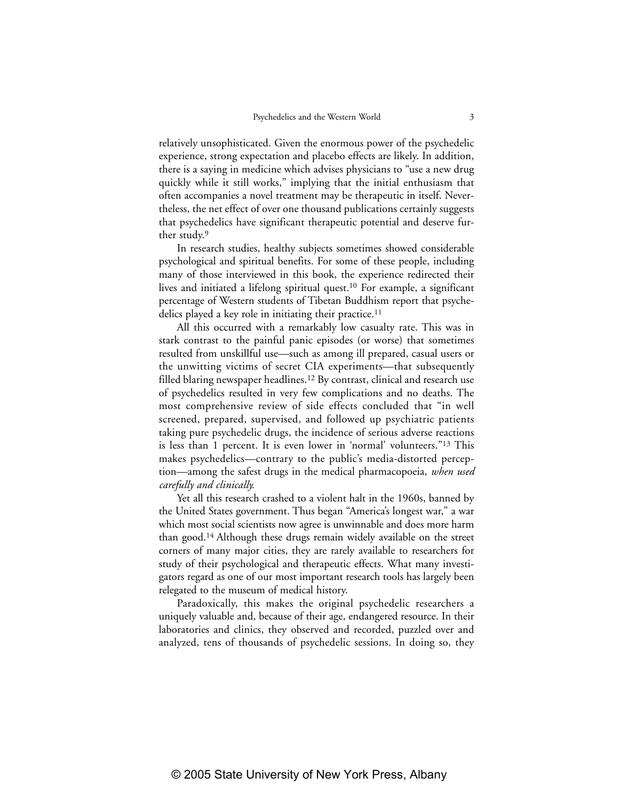relatively unsophisticated. Given the enormous power of the psychedelic experience, strong expectation and placebo effects are likely. In addition, there is a saying in medicine which advises physicians to "use a new drug quickly while it still works," implying that the initial enthusiasm that often accompanies a novel treatment may be therapeutic in itself. Nevertheless, the net effect of over one thousand publications certainly suggests that psychedelics have significant therapeutic potential and deserve further study.9

In research studies, healthy subjects sometimes showed considerable psychological and spiritual benefits. For some of these people, including many of those interviewed in this book, the experience redirected their lives and initiated a lifelong spiritual quest.<sup>10</sup> For example, a significant percentage of Western students of Tibetan Buddhism report that psychedelics played a key role in initiating their practice.<sup>11</sup>

All this occurred with a remarkably low casualty rate. This was in stark contrast to the painful panic episodes (or worse) that sometimes resulted from unskillful use—such as among ill prepared, casual users or the unwitting victims of secret CIA experiments—that subsequently filled blaring newspaper headlines.<sup>12</sup> By contrast, clinical and research use of psychedelics resulted in very few complications and no deaths. The most comprehensive review of side effects concluded that "in well screened, prepared, supervised, and followed up psychiatric patients taking pure psychedelic drugs, the incidence of serious adverse reactions is less than 1 percent. It is even lower in 'normal' volunteers."13 This makes psychedelics—contrary to the public's media-distorted perception—among the safest drugs in the medical pharmacopoeia, *when used carefully and clinically.* 

Yet all this research crashed to a violent halt in the 1960s, banned by the United States government. Thus began "America's longest war," a war which most social scientists now agree is unwinnable and does more harm than good.14 Although these drugs remain widely available on the street corners of many major cities, they are rarely available to researchers for study of their psychological and therapeutic effects. What many investigators regard as one of our most important research tools has largely been relegated to the museum of medical history.

Paradoxically, this makes the original psychedelic researchers a uniquely valuable and, because of their age, endangered resource. In their laboratories and clinics, they observed and recorded, puzzled over and analyzed, tens of thousands of psychedelic sessions. In doing so, they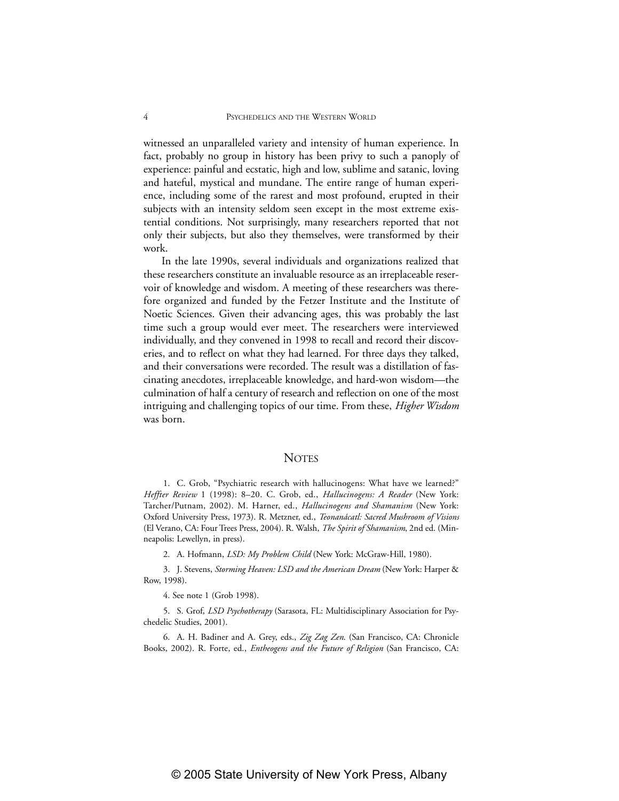witnessed an unparalleled variety and intensity of human experience. In fact, probably no group in history has been privy to such a panoply of experience: painful and ecstatic, high and low, sublime and satanic, loving and hateful, mystical and mundane. The entire range of human experience, including some of the rarest and most profound, erupted in their subjects with an intensity seldom seen except in the most extreme existential conditions. Not surprisingly, many researchers reported that not only their subjects, but also they themselves, were transformed by their work.

In the late 1990s, several individuals and organizations realized that these researchers constitute an invaluable resource as an irreplaceable reservoir of knowledge and wisdom. A meeting of these researchers was therefore organized and funded by the Fetzer Institute and the Institute of Noetic Sciences. Given their advancing ages, this was probably the last time such a group would ever meet. The researchers were interviewed individually, and they convened in 1998 to recall and record their discoveries, and to reflect on what they had learned. For three days they talked, and their conversations were recorded. The result was a distillation of fascinating anecdotes, irreplaceable knowledge, and hard-won wisdom—the culmination of half a century of research and reflection on one of the most intriguing and challenging topics of our time. From these, *Higher Wisdom* was born.

## **NOTES**

1. C. Grob, "Psychiatric research with hallucinogens: What have we learned?" *Heffter Review* 1 (1998): 8–20. C. Grob, ed., *Hallucinogens: A Reader* (New York: Tarcher/Putnam, 2002). M. Harner, ed., *Hallucinogens and Shamanism* (New York: Oxford University Press, 1973). R. Metzner, ed., *Teonanácatl: Sacred Mushroom of Visions* (El Verano, CA: Four Trees Press, 2004). R. Walsh, *The Spirit of Shamanism*, 2nd ed. (Minneapolis: Lewellyn, in press).

2. A. Hofmann, *LSD: My Problem Child* (New York: McGraw-Hill, 1980).

3. J. Stevens, *Storming Heaven: LSD and the American Dream* (New York: Harper & Row, 1998).

4. See note 1 (Grob 1998).

5. S. Grof, *LSD Psychotherapy* (Sarasota, FL: Multidisciplinary Association for Psychedelic Studies, 2001).

6. A. H. Badiner and A. Grey, eds., *Zig Zag Zen*. (San Francisco, CA: Chronicle Books, 2002). R. Forte, ed., *Entheogens and the Future of Religion* (San Francisco, CA: